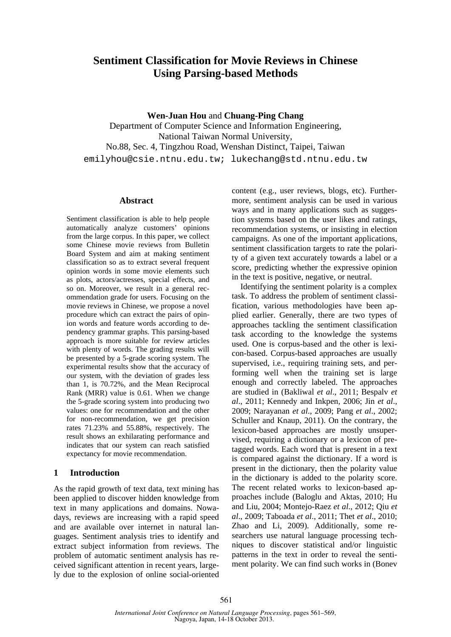# **Sentiment Classification for Movie Reviews in Chinese Using Parsing-based Methods**

**Wen-Juan Hou** and **Chuang-Ping Chang**  Department of Computer Science and Information Engineering, National Taiwan Normal University, No.88, Sec. 4, Tingzhou Road, Wenshan Distinct, Taipei, Taiwan emilyhou@csie.ntnu.edu.tw; lukechang@std.ntnu.edu.tw

### **Abstract**

Sentiment classification is able to help people automatically analyze customers' opinions from the large corpus. In this paper, we collect some Chinese movie reviews from Bulletin Board System and aim at making sentiment classification so as to extract several frequent opinion words in some movie elements such as plots, actors/actresses, special effects, and so on. Moreover, we result in a general recommendation grade for users. Focusing on the movie reviews in Chinese, we propose a novel procedure which can extract the pairs of opinion words and feature words according to dependency grammar graphs. This parsing-based approach is more suitable for review articles with plenty of words. The grading results will be presented by a 5-grade scoring system. The experimental results show that the accuracy of our system, with the deviation of grades less than 1, is 70.72%, and the Mean Reciprocal Rank (MRR) value is 0.61. When we change the 5-grade scoring system into producing two values: one for recommendation and the other for non-recommendation, we get precision rates 71.23% and 55.88%, respectively. The result shows an exhilarating performance and indicates that our system can reach satisfied expectancy for movie recommendation.

### **1 Introduction**

As the rapid growth of text data, text mining has been applied to discover hidden knowledge from text in many applications and domains. Nowadays, reviews are increasing with a rapid speed and are available over internet in natural languages. Sentiment analysis tries to identify and extract subject information from reviews. The problem of automatic sentiment analysis has received significant attention in recent years, largely due to the explosion of online social-oriented content (e.g., user reviews, blogs, etc). Furthermore, sentiment analysis can be used in various ways and in many applications such as suggestion systems based on the user likes and ratings, recommendation systems, or insisting in election campaigns. As one of the important applications, sentiment classification targets to rate the polarity of a given text accurately towards a label or a score, predicting whether the expressive opinion in the text is positive, negative, or neutral.

Identifying the sentiment polarity is a complex task. To address the problem of sentiment classification, various methodologies have been applied earlier. Generally, there are two types of approaches tackling the sentiment classification task according to the knowledge the systems used. One is corpus-based and the other is lexicon-based. Corpus-based approaches are usually supervised, i.e., requiring training sets, and performing well when the training set is large enough and correctly labeled. The approaches are studied in (Bakliwal *et al*., 2011; Bespalv *et al*., 2011; Kennedy and Inkpen, 2006; Jin *et al*., 2009; Narayanan *et al*., 2009; Pang *et al*., 2002; Schuller and Knaup, 2011). On the contrary, the lexicon-based approaches are mostly unsupervised, requiring a dictionary or a lexicon of pretagged words. Each word that is present in a text is compared against the dictionary. If a word is present in the dictionary, then the polarity value in the dictionary is added to the polarity score. The recent related works to lexicon-based approaches include (Baloglu and Aktas, 2010; Hu and Liu, 2004; Montejo-Raez *et al*., 2012; Qiu *et al*., 2009; Taboada *et al*., 2011; Thet *et al*., 2010; Zhao and Li, 2009). Additionally, some researchers use natural language processing techniques to discover statistical and/or linguistic patterns in the text in order to reveal the sentiment polarity. We can find such works in (Bonev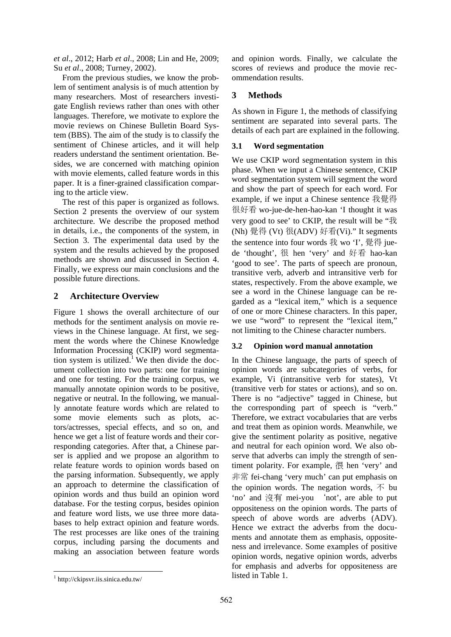*et al*., 2012; Harb *et al*., 2008; Lin and He, 2009; Su *et al*., 2008; Turney, 2002).

From the previous studies, we know the problem of sentiment analysis is of much attention by many researchers. Most of researchers investigate English reviews rather than ones with other languages. Therefore, we motivate to explore the movie reviews on Chinese Bulletin Board System (BBS). The aim of the study is to classify the sentiment of Chinese articles, and it will help readers understand the sentiment orientation. Besides, we are concerned with matching opinion with movie elements, called feature words in this paper. It is a finer-grained classification comparing to the article view.

The rest of this paper is organized as follows. Section 2 presents the overview of our system architecture. We describe the proposed method in details, i.e., the components of the system, in Section 3. The experimental data used by the system and the results achieved by the proposed methods are shown and discussed in Section 4. Finally, we express our main conclusions and the possible future directions.

### **2 Architecture Overview**

Figure 1 shows the overall architecture of our methods for the sentiment analysis on movie reviews in the Chinese language. At first, we segment the words where the Chinese Knowledge Information Processing (CKIP) word segmentation system is utilized.<sup>1</sup> We then divide the document collection into two parts: one for training and one for testing. For the training corpus, we manually annotate opinion words to be positive, negative or neutral. In the following, we manually annotate feature words which are related to some movie elements such as plots, actors/actresses, special effects, and so on, and hence we get a list of feature words and their corresponding categories. After that, a Chinese parser is applied and we propose an algorithm to relate feature words to opinion words based on the parsing information. Subsequently, we apply an approach to determine the classification of opinion words and thus build an opinion word database. For the testing corpus, besides opinion and feature word lists, we use three more databases to help extract opinion and feature words. The rest processes are like ones of the training corpus, including parsing the documents and making an association between feature words

and opinion words. Finally, we calculate the scores of reviews and produce the movie recommendation results.

## **3 Methods**

As shown in Figure 1, the methods of classifying sentiment are separated into several parts. The details of each part are explained in the following.

## **3.1 Word segmentation**

We use CKIP word segmentation system in this phase. When we input a Chinese sentence, CKIP word segmentation system will segment the word and show the part of speech for each word. For example, if we input a Chinese sentence 我覺得 很好看 wo-jue-de-hen-hao-kan 'I thought it was very good to see' to CKIP, the result will be "我 (Nh) 覺得 (Vt) 很(ADV) 好看(Vi)." It segments the sentence into four words 我 wo 'I', 覺得 juede 'thought', 很 hen 'very' and 好看 hao-kan 'good to see'. The parts of speech are pronoun, transitive verb, adverb and intransitive verb for states, respectively. From the above example, we see a word in the Chinese language can be regarded as a "lexical item," which is a sequence of one or more Chinese characters. In this paper, we use "word" to represent the "lexical item," not limiting to the Chinese character numbers.

## **3.2 Opinion word manual annotation**

In the Chinese language, the parts of speech of opinion words are subcategories of verbs, for example, Vi (intransitive verb for states), Vt (transitive verb for states or actions), and so on. There is no "adjective" tagged in Chinese, but the corresponding part of speech is "verb." Therefore, we extract vocabularies that are verbs and treat them as opinion words. Meanwhile, we give the sentiment polarity as positive, negative and neutral for each opinion word. We also observe that adverbs can imply the strength of sentiment polarity. For example, 很 hen 'very' and 非常 fei-chang 'very much' can put emphasis on the opinion words. The negation words,  $\overline{\wedge}$  bu 'no' and 沒有 mei-you `not', are able to put oppositeness on the opinion words. The parts of speech of above words are adverbs (ADV). Hence we extract the adverbs from the documents and annotate them as emphasis, oppositeness and irrelevance. Some examples of positive opinion words, negative opinion words, adverbs for emphasis and adverbs for oppositeness are listed in Table 1.

<sup>1</sup> http://ckipsvr.iis.sinica.edu.tw/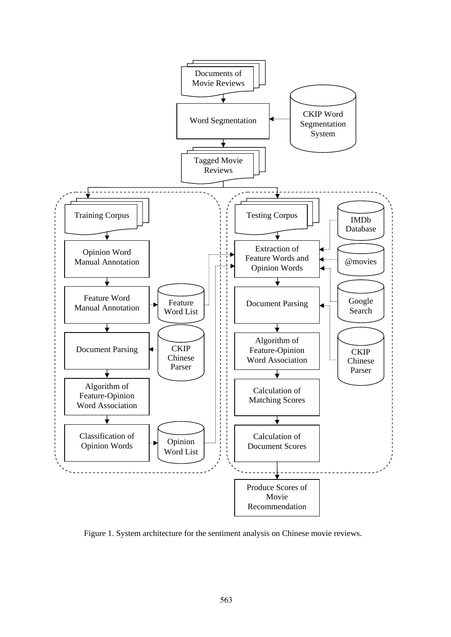

Figure 1. System architecture for the sentiment analysis on Chinese movie reviews.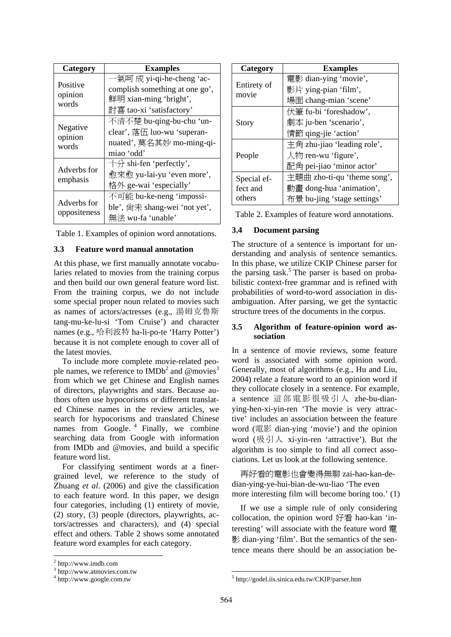| Category            | <b>Examples</b>                  |  |  |
|---------------------|----------------------------------|--|--|
|                     | 一氣呵 成 yi-qi-he-cheng 'ac-        |  |  |
| Positive            | complish something at one go',   |  |  |
| opinion<br>words    | 鮮明 xian-ming 'bright',           |  |  |
|                     | 討喜 tao-xi 'satisfactory'         |  |  |
|                     | 不清不楚 bu-qing-bu-chu 'un-         |  |  |
| Negative<br>opinion | clear', 落伍 luo-wu 'superan-      |  |  |
| words               | nuated', 莫名其妙 mo-ming-qi-        |  |  |
|                     | miao 'odd'                       |  |  |
|                     | $\pm\theta$ shi-fen 'perfectly', |  |  |
| Adverbs for         | 愈來愈 yu-lai-yu 'even more',       |  |  |
| emphasis            | 格外 ge-wai 'especially'           |  |  |
|                     | 不可能 bu-ke-neng 'impossi-         |  |  |
| Adverbs for         | ble', 尚未 shang-wei 'not yet',    |  |  |
| oppositeness        | 無法 wu-fa 'unable'                |  |  |

Table 1. Examples of opinion word annotations.

### **3.3 Feature word manual annotation**

At this phase, we first manually annotate vocabularies related to movies from the training corpus and then build our own general feature word list. From the training corpus, we do not include some special proper noun related to movies such as names of actors/actresses (e.g., 湯姆克魯斯 tang-mu-ke-lu-si 'Tom Cruise') and character names (e.g., 哈利波特 ha-li-po-te 'Harry Potter') because it is not complete enough to cover all of the latest movies.

To include more complete movie-related people names, we reference to IMDb<sup>2</sup> and  $@$  movies<sup>3</sup> from which we get Chinese and English names of directors, playwrights and stars. Because authors often use hypocorisms or different translated Chinese names in the review articles, we search for hypocorisms and translated Chinese names from Google.<sup>4</sup> Finally, we combine searching data from Google with information from IMDb and @movies, and build a specific feature word list.

For classifying sentiment words at a finergrained level, we reference to the study of Zhuang *et al*. (2006) and give the classification to each feature word. In this paper, we design four categories, including (1) entirety of movie, (2) story, (3) people (directors, playwrights, actors/actresses and characters), and (4) special effect and others. Table 2 shows some annotated feature word examples for each category.

| Category             | <b>Examples</b>              |  |  |
|----------------------|------------------------------|--|--|
|                      | 電影 dian-ying 'movie',        |  |  |
| Entirety of<br>movie | 影片 ying-pian 'film',         |  |  |
|                      | 場面 chang-mian 'scene'        |  |  |
|                      | 伏筆 fu-bi 'foreshadow',       |  |  |
| Story                | 劇本 ju-ben 'scenario',        |  |  |
|                      | 情節 qing-jie 'action'         |  |  |
|                      | 主角 zhu-jiao 'leading role',  |  |  |
| People               | $\lambda$ 物 ren-wu 'figure', |  |  |
|                      | 配角 pei-jiao 'minor actor'    |  |  |
| Special ef-          | 主題曲 zho-ti-qu 'theme song',  |  |  |
| fect and             | 動畫 dong-hua 'animation',     |  |  |
| others               | 布景 bu-jing 'stage settings'  |  |  |

Table 2. Examples of feature word annotations.

## **3.4 Document parsing**

The structure of a sentence is important for understanding and analysis of sentence semantics. In this phase, we utilize CKIP Chinese parser for the parsing task.<sup>5</sup> The parser is based on probabilistic context-free grammar and is refined with probabilities of word-to-word association in disambiguation. After parsing, we get the syntactic structure trees of the documents in the corpus.

### **3.5 Algorithm of feature-opinion word association**

In a sentence of movie reviews, some feature word is associated with some opinion word. Generally, most of algorithms (e.g., Hu and Liu, 2004) relate a feature word to an opinion word if they collocate closely in a sentence. For example, a sentence 這部電影很吸引人 zhe-bu-dianying-hen-xi-yin-ren 'The movie is very attractive' includes an association between the feature word (電影 dian-ying 'movie') and the opinion word (吸引人 xi-yin-ren 'attractive'). But the algorithm is too simple to find all correct associations. Let us look at the following sentence.

再好看的電影也會變得無聊 zai-hao-kan-dedian-ying-ye-hui-bian-de-wu-liao 'The even more interesting film will become boring too.' (1)

If we use a simple rule of only considering collocation, the opinion word  $\#$ # hao-kan 'interesting' will associate with the feature word 雷 影 dian-ying 'film'. But the semantics of the sentence means there should be an association be-

 $2$  http://www.imdb.com

<sup>3</sup> http://www.atmovies.com.tw

<sup>4</sup> http://www.google.com.tw

<sup>5</sup> http://godel.iis.sinica.edu.tw/CKIP/parser.htm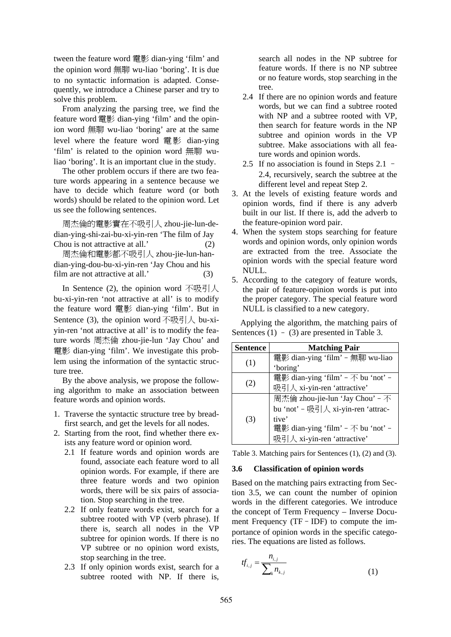tween the feature word 電影 dian-ying 'film' and the opinion word 無聊 wu-liao 'boring'. It is due to no syntactic information is adapted. Consequently, we introduce a Chinese parser and try to solve this problem.

From analyzing the parsing tree, we find the feature word 電影 dian-ying 'film' and the opinion word 無聊 wu-liao 'boring' are at the same level where the feature word 電影 dian-ying 'film' is related to the opinion word 無聊 wuliao 'boring'. It is an important clue in the study.

The other problem occurs if there are two feature words appearing in a sentence because we have to decide which feature word (or both words) should be related to the opinion word. Let us see the following sentences.

周杰倫的電影實在不吸引人 zhou-jie-lun-dedian-ying-shi-zai-bu-xi-yin-ren 'The film of Jay Chou is not attractive at all.' (2)

周杰倫和電影都不吸引人 zhou-jie-lun-handian-ying-dou-bu-xi-yin-ren 'Jay Chou and his film are not attractive at all.' (3)

In Sentence (2), the opinion word  $\vec{\pi}$  we of  $\vec{\pi}$ bu-xi-yin-ren 'not attractive at all' is to modify the feature word 電影 dian-ying 'film'. But in Sentence (3), the opinion word  $\overline{\mathcal{F}}$  we  $\overline{\mathcal{F}}$  bu-xiyin-ren 'not attractive at all' is to modify the feature words 周杰倫 zhou-jie-lun 'Jay Chou' and 電影 dian-ying 'film'. We investigate this problem using the information of the syntactic structure tree.

By the above analysis, we propose the following algorithm to make an association between feature words and opinion words.

- 1. Traverse the syntactic structure tree by breadfirst search, and get the levels for all nodes.
- 2. Starting from the root, find whether there exists any feature word or opinion word.
	- 2.1 If feature words and opinion words are found, associate each feature word to all opinion words. For example, if there are three feature words and two opinion words, there will be six pairs of association. Stop searching in the tree.
	- 2.2 If only feature words exist, search for a subtree rooted with VP (verb phrase). If there is, search all nodes in the VP subtree for opinion words. If there is no VP subtree or no opinion word exists, stop searching in the tree.
	- 2.3 If only opinion words exist, search for a subtree rooted with NP. If there is,

search all nodes in the NP subtree for feature words. If there is no NP subtree or no feature words, stop searching in the tree.

- 2.4 If there are no opinion words and feature words, but we can find a subtree rooted with NP and a subtree rooted with VP, then search for feature words in the NP subtree and opinion words in the VP subtree. Make associations with all feature words and opinion words.
- 2.5 If no association is found in Steps 2.1 2.4, recursively, search the subtree at the different level and repeat Step 2.
- 3. At the levels of existing feature words and opinion words, find if there is any adverb built in our list. If there is, add the adverb to the feature-opinion word pair.
- 4. When the system stops searching for feature words and opinion words, only opinion words are extracted from the tree. Associate the opinion words with the special feature word NULL.
- 5. According to the category of feature words, the pair of feature-opinion words is put into the proper category. The special feature word NULL is classified to a new category.

Applying the algorithm, the matching pairs of Sentences  $(1) - (3)$  are presented in Table 3.

| <b>Sentence</b> | <b>Matching Pair</b>               |  |  |  |
|-----------------|------------------------------------|--|--|--|
| (1)             | 電影 dian-ying 'film' - 無聊 wu-liao   |  |  |  |
|                 | 'boring'                           |  |  |  |
|                 | 電影 dian-ying 'film' - 不 bu 'not' - |  |  |  |
| (2)             | 吸引人 xi-yin-ren 'attractive'        |  |  |  |
|                 | 周杰倫 zhou-jie-lun 'Jay Chou' - 不    |  |  |  |
|                 | bu 'not' - 吸引人 xi-yin-ren 'attrac- |  |  |  |
| (3)             | tive'                              |  |  |  |
|                 | 電影 dian-ying 'film' - 不 bu 'not' - |  |  |  |
|                 | 吸引人 xi-yin-ren 'attractive'        |  |  |  |

Table 3. Matching pairs for Sentences (1), (2) and (3).

### **3.6 Classification of opinion words**

Based on the matching pairs extracting from Section 3.5, we can count the number of opinion words in the different categories. We introduce the concept of Term Frequency – Inverse Document Frequency (TF – IDF) to compute the importance of opinion words in the specific categories. The equations are listed as follows.

$$
tf_{i,j} = \frac{n_{i,j}}{\sum_{k} n_{k,j}}
$$
 (1)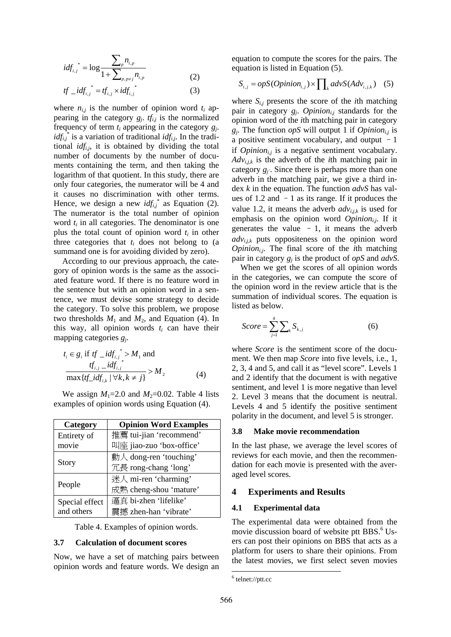$$
idf_{i,j}^* = \log \frac{\sum_{p} n_{i,p}}{1 + \sum_{p,p \neq j} n_{i,p}}
$$
 (2)

$$
tf\_idf_{i,j}^* = tf_{i,j} \times idf_{i,j}^* \tag{3}
$$

where  $n_{i,j}$  is the number of opinion word  $t_i$  appearing in the category  $g_i$ .  $tf_{i,j}$  is the normalized frequency of term *ti* appearing in the category *gj*.  $idf_{i,j}$ <sup>\*</sup> is a variation of traditional  $idf_{i,j}$ . In the traditional *idfi,j*, it is obtained by dividing the total number of documents by the number of documents containing the term, and then taking the logarithm of that quotient. In this study, there are only four categories, the numerator will be 4 and it causes no discrimination with other terms. Hence, we design a new  $idf_{i,j}$ <sup>\*</sup> as Equation (2). The numerator is the total number of opinion word  $t_i$  in all categories. The denominator is one plus the total count of opinion word  $t_i$  in other three categories that  $t_i$  does not belong to (a summand one is for avoiding divided by zero).

According to our previous approach, the category of opinion words is the same as the associated feature word. If there is no feature word in the sentence but with an opinion word in a sentence, we must devise some strategy to decide the category. To solve this problem, we propose two thresholds  $M_1$  and  $M_2$ , and Equation (4). In this way, all opinion words  $t_i$  can have their mapping categories *gj*.

$$
t_i \in g_i \text{ if } tf\_idf_{i,j}^* > M_1 \text{ and}
$$
  
\n
$$
\frac{tf_{i,j} - idf_{i,j}}{\max\{tf\_idf_{i,k} \mid \forall k, k \neq j\}} > M_2
$$
 (4)

We assign  $M_1$ =2.0 and  $M_2$ =0.02. Table 4 lists examples of opinion words using Equation (4).

| Category       | <b>Opinion Word Examples</b> |  |  |
|----------------|------------------------------|--|--|
| Entirety of    | 推薦 tui-jian 'recommend'      |  |  |
| movie          | 叫座 jiao-zuo 'box-office'     |  |  |
|                | 動人 dong-ren 'touching'       |  |  |
| Story          | 冗長 rong-chang 'long'         |  |  |
|                | 迷人 mi-ren 'charming'         |  |  |
| People         | 成熟 cheng-shou 'mature'       |  |  |
| Special effect | 逼真 bi-zhen 'lifelike'        |  |  |
| and others     | 震撼 zhen-han 'vibrate'        |  |  |

Table 4. Examples of opinion words.

#### **3.7 Calculation of document scores**

Now, we have a set of matching pairs between opinion words and feature words. We design an equation to compute the scores for the pairs. The equation is listed in Equation (5).

$$
S_{i,j} = opS(Option_{i,j}) \times \prod_k advS(Adv_{i,j,k}) \quad (5)
$$

where  $S_{i,j}$  presents the score of the *i*th matching pair in category  $g_i$ . Opinion<sub>ii</sub> standards for the opinion word of the *i*th matching pair in category  $g_i$ . The function *opS* will output 1 if *Opinion<sub>ii</sub>* is a positive sentiment vocabulary, and output  $-1$ if  $Option_{i,j}$  is a negative sentiment vocabulary. *Advi,j,k* is the adverb of the *i*th matching pair in category  $g_i$ . Since there is perhaps more than one adverb in the matching pair, we give a third index *k* in the equation. The function *advS* has values of 1.2 and  $-1$  as its range. If it produces the value 1.2, it means the adverb  $adv_{i,k}$  is used for emphasis on the opinion word  $Opinion_{i,j}$ . If it generates the value  $-1$ , it means the adverb *advi,j,k* puts oppositeness on the opinion word  $Opinion<sub>i,j</sub>$ . The final score of the *i*th matching pair in category *gj* is the product of *opS* and *advS*.

When we get the scores of all opinion words in the categories, we can compute the score of the opinion word in the review article that is the summation of individual scores. The equation is listed as below.

$$
Score = \sum_{j=1}^{4} \sum_{k} S_{k,j} \tag{6}
$$

where *Score* is the sentiment score of the document. We then map *Score* into five levels, i.e., 1, 2, 3, 4 and 5, and call it as "level score". Levels 1 and 2 identify that the document is with negative sentiment, and level 1 is more negative than level 2. Level 3 means that the document is neutral. Levels 4 and 5 identify the positive sentiment polarity in the document, and level 5 is stronger.

#### **3.8 Make movie recommendation**

In the last phase, we average the level scores of reviews for each movie, and then the recommendation for each movie is presented with the averaged level scores.

#### **4 Experiments and Results**

#### **4.1 Experimental data**

The experimental data were obtained from the movie discussion board of website ptt BBS.<sup>6</sup> Users can post their opinions on BBS that acts as a platform for users to share their opinions. From the latest movies, we first select seven movies

<sup>6</sup> telnet://ptt.cc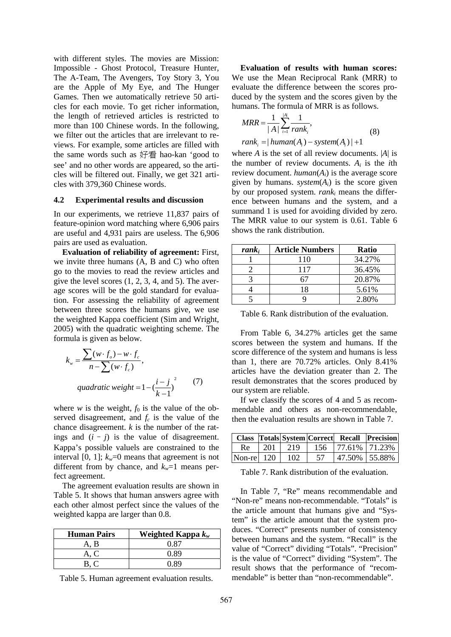with different styles. The movies are Mission: Impossible - Ghost Protocol, Treasure Hunter, The A-Team, The Avengers, Toy Story 3, You are the Apple of My Eye, and The Hunger Games. Then we automatically retrieve 50 articles for each movie. To get richer information, the length of retrieved articles is restricted to more than 100 Chinese words. In the following, we filter out the articles that are irrelevant to reviews. For example, some articles are filled with the same words such as 好看 hao-kan 'good to see' and no other words are appeared, so the articles will be filtered out. Finally, we get 321 articles with 379,360 Chinese words.

#### **4.2 Experimental results and discussion**

In our experiments, we retrieve 11,837 pairs of feature-opinion word matching where 6,906 pairs are useful and 4,931 pairs are useless. The 6,906 pairs are used as evaluation.

**Evaluation of reliability of agreement:** First, we invite three humans (A, B and C) who often go to the movies to read the review articles and give the level scores  $(1, 2, 3, 4, \text{ and } 5)$ . The average scores will be the gold standard for evaluation. For assessing the reliability of agreement between three scores the humans give, we use the weighted Kappa coefficient (Sim and Wright, 2005) with the quadratic weighting scheme. The formula is given as below.

$$
k_{w} = \frac{\sum (w \cdot f_{o}) - w \cdot f_{c}}{n - \sum (w \cdot f_{c})},
$$
  
quadratic weight = 1 -  $\left(\frac{i - j}{k - 1}\right)^{2}$  (7)

where *w* is the weight,  $f_0$  is the value of the observed disagreement, and  $f_c$  is the value of the chance disagreement. *k* is the number of the ratings and  $(i - j)$  is the value of disagreement. Kappa's possible valuels are constrained to the interval [0, 1];  $k_w=0$  means that agreement is not different from by chance, and  $k_w$ =1 means perfect agreement.

The agreement evaluation results are shown in Table 5. It shows that human answers agree with each other almost perfect since the values of the weighted kappa are larger than 0.8.

| <b>Human Pairs</b> | Weighted Kappa $k_w$ |
|--------------------|----------------------|
| A. B               | O 87                 |
| A. C               | 0.89                 |
|                    | N 89                 |

Table 5. Human agreement evaluation results.

**Evaluation of results with human scores:** We use the Mean Reciprocal Rank (MRR) to evaluate the difference between the scores produced by the system and the scores given by the humans. The formula of MRR is as follows.

$$
MRR = \frac{1}{|A|} \sum_{i=1}^{|A|} \frac{1}{rank_i},
$$
  
rank<sub>i</sub> = | human(A<sub>i</sub>) - system(A<sub>i</sub>) | +1 (8)

where *A* is the set of all review documents. |*A*| is the number of review documents. *Ai* is the *i*th review document. *human*(*Ai*) is the average score given by humans.  $system(A<sub>i</sub>)$  is the score given by our proposed system. *ranki* means the difference between humans and the system, and a summand 1 is used for avoiding divided by zero. The MRR value to our system is 0.61. Table 6 shows the rank distribution.

| $rank_i$ | <b>Article Numbers</b> | <b>Ratio</b> |
|----------|------------------------|--------------|
|          | 110                    | 34.27%       |
|          | 117                    | 36.45%       |
|          |                        | 20.87%       |
|          | 18                     | 5.61%        |
|          |                        | 2.80%        |

Table 6. Rank distribution of the evaluation.

From Table 6, 34.27% articles get the same scores between the system and humans. If the score difference of the system and humans is less than 1, there are 70.72% articles. Only 8.41% articles have the deviation greater than 2. The result demonstrates that the scores produced by our system are reliable.

If we classify the scores of 4 and 5 as recommendable and others as non-recommendable, then the evaluation results are shown in Table 7.

|                 |  |    |                                   | Class Totals System Correct Recall Precision |
|-----------------|--|----|-----------------------------------|----------------------------------------------|
| Re              |  |    | 201   219   156   77.61%   71.23% |                                              |
| Non-rel 120 102 |  | 57 | 47.50%   55.88%                   |                                              |

Table 7. Rank distribution of the evaluation.

In Table 7, "Re" means recommendable and "Non-re" means non-recommendable. "Totals" is the article amount that humans give and "System" is the article amount that the system produces. "Correct" presents number of consistency between humans and the system. "Recall" is the value of "Correct" dividing "Totals". "Precision" is the value of "Correct" dividing "System". The result shows that the performance of "recommendable" is better than "non-recommendable".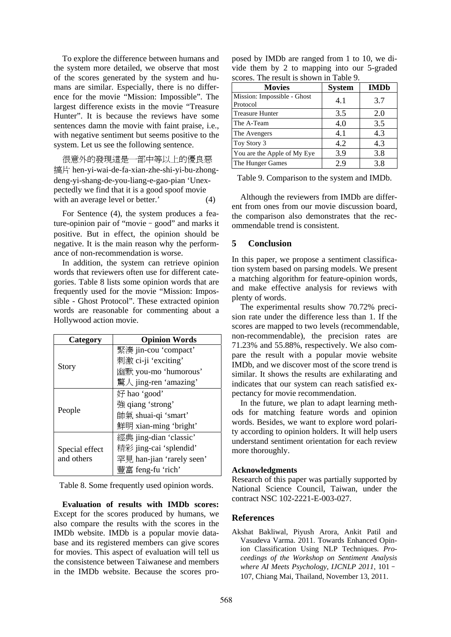To explore the difference between humans and the system more detailed, we observe that most of the scores generated by the system and humans are similar. Especially, there is no difference for the movie "Mission: Impossible". The largest difference exists in the movie "Treasure Hunter". It is because the reviews have some sentences damn the movie with faint praise, i.e., with negative sentiment but seems positive to the system. Let us see the following sentence.

很意外的發現這是一部中等以上的優良惡 搞片 hen-yi-wai-de-fa-xian-zhe-shi-yi-bu-zhongdeng-yi-shang-de-you-liang-e-gao-pian 'Unexpectedly we find that it is a good spoof movie with an average level or better.' (4)

For Sentence (4), the system produces a feature-opinion pair of "movie–good" and marks it positive. But in effect, the opinion should be negative. It is the main reason why the performance of non-recommendation is worse.

In addition, the system can retrieve opinion words that reviewers often use for different categories. Table 8 lists some opinion words that are frequently used for the movie "Mission: Impossible - Ghost Protocol". These extracted opinion words are reasonable for commenting about a Hollywood action movie.

| Category       | <b>Opinion Words</b>      |  |  |
|----------------|---------------------------|--|--|
|                | 緊湊 jin-cou 'compact'      |  |  |
|                | 刺激 ci-ji 'exciting'       |  |  |
| Story          | 幽默 you-mo 'humorous'      |  |  |
|                | 驚人 jing-ren 'amazing'     |  |  |
|                | 好 hao 'good'              |  |  |
|                | 強 qiang 'strong'          |  |  |
| People         | 帥氣 shuai-qi 'smart'       |  |  |
|                | 鮮明 xian-ming 'bright'     |  |  |
|                | 經典 jing-dian 'classic'    |  |  |
| Special effect | 精彩 jing-cai 'splendid'    |  |  |
| and others     | 罕見 han-jian 'rarely seen' |  |  |
|                | 豐富 feng-fu 'rich'         |  |  |

Table 8. Some frequently used opinion words.

**Evaluation of results with IMDb scores:** Except for the scores produced by humans, we also compare the results with the scores in the IMDb website. IMDb is a popular movie database and its registered members can give scores for movies. This aspect of evaluation will tell us the consistence between Taiwanese and members in the IMDb website. Because the scores pro-

|  |  | posed by IMDb are ranged from 1 to 10, we di- |  |  |
|--|--|-----------------------------------------------|--|--|
|  |  | vide them by 2 to mapping into our 5-graded   |  |  |
|  |  | scores. The result is shown in Table 9.       |  |  |

| <b>Movies</b>                           | <b>System</b> | <b>IMDb</b> |
|-----------------------------------------|---------------|-------------|
| Mission: Impossible - Ghost<br>Protocol | 4.1           | 3.7         |
| <b>Treasure Hunter</b>                  | 3.5           | 2.0         |
| The A-Team                              | 4.0           | 3.5         |
| The Avengers                            | 4.1           | 4.3         |
| Toy Story 3                             | 4.2           | 4.3         |
| You are the Apple of My Eye             | 3.9           | 3.8         |
| The Hunger Games                        | 2.9           | 3.8         |

Table 9. Comparison to the system and IMDb.

Although the reviewers from IMDb are different from ones from our movie discussion board, the comparison also demonstrates that the recommendable trend is consistent.

## **5 Conclusion**

In this paper, we propose a sentiment classification system based on parsing models. We present a matching algorithm for feature-opinion words, and make effective analysis for reviews with plenty of words.

The experimental results show 70.72% precision rate under the difference less than 1. If the scores are mapped to two levels (recommendable, non-recommendable), the precision rates are 71.23% and 55.88%, respectively. We also compare the result with a popular movie website IMDb, and we discover most of the score trend is similar. It shows the results are exhilarating and indicates that our system can reach satisfied expectancy for movie recommendation.

In the future, we plan to adapt learning methods for matching feature words and opinion words. Besides, we want to explore word polarity according to opinion holders. It will help users understand sentiment orientation for each review more thoroughly.

## **Acknowledgments**

Research of this paper was partially supported by National Science Council, Taiwan, under the contract NSC 102-2221-E-003-027.

## **References**

Akshat Bakliwal, Piyush Arora, Ankit Patil and Vasudeva Varma. 2011. Towards Enhanced Opinion Classification Using NLP Techniques. *Proceedings of the Workshop on Sentiment Analysis where AI Meets Psychology*, *IJCNLP 2011*, 101– 107, Chiang Mai, Thailand, November 13, 2011.